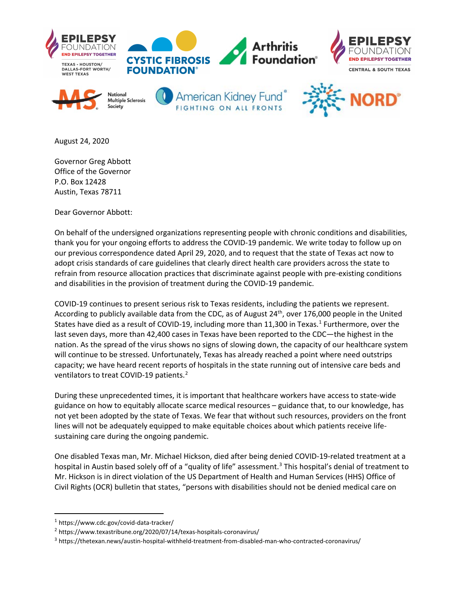

August 24, 2020

Governor Greg Abbott Office of the Governor P.O. Box 12428 Austin, Texas 78711

Dear Governor Abbott:

On behalf of the undersigned organizations representing people with chronic conditions and disabilities, thank you for your ongoing efforts to address the COVID-19 pandemic. We write today to follow up on our previous correspondence dated April 29, 2020, and to request that the state of Texas act now to adopt crisis standards of care guidelines that clearly direct health care providers across the state to refrain from resource allocation practices that discriminate against people with pre-existing conditions and disabilities in the provision of treatment during the COVID-19 pandemic.

COVID-19 continues to present serious risk to Texas residents, including the patients we represent. According to publicly available data from the CDC, as of August 24<sup>th</sup>, over 176,000 people in the United States have died as a result of COVID-[1](#page-0-0)9, including more than 11,300 in Texas.<sup>1</sup> Furthermore, over the last seven days, more than 42,400 cases in Texas have been reported to the CDC—the highest in the nation. As the spread of the virus shows no signs of slowing down, the capacity of our healthcare system will continue to be stressed. Unfortunately, Texas has already reached a point where need outstrips capacity; we have heard recent reports of hospitals in the state running out of intensive care beds and ventilators to treat COVID-19 patients.<sup>[2](#page-0-1)</sup>

During these unprecedented times, it is important that healthcare workers have access to state-wide guidance on how to equitably allocate scarce medical resources – guidance that, to our knowledge, has not yet been adopted by the state of Texas. We fear that without such resources, providers on the front lines will not be adequately equipped to make equitable choices about which patients receive lifesustaining care during the ongoing pandemic.

One disabled Texas man, Mr. Michael Hickson, died after being denied COVID-19-related treatment at a hospital in Austin based solely off of a "quality of life" assessment.[3](#page-0-2) This hospital's denial of treatment to Mr. Hickson is in direct violation of the US Department of Health and Human Services (HHS) Office of Civil Rights (OCR) bulletin that states, "persons with disabilities should not be denied medical care on

<span id="page-0-0"></span><sup>1</sup> https://www.cdc.gov/covid-data-tracker/

<span id="page-0-1"></span><sup>&</sup>lt;sup>2</sup> https://www.texastribune.org/2020/07/14/texas-hospitals-coronavirus/

<span id="page-0-2"></span><sup>3</sup> https://thetexan.news/austin-hospital-withheld-treatment-from-disabled-man-who-contracted-coronavirus/